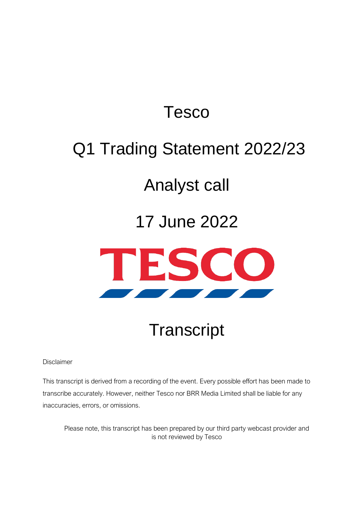### Tesco

## Q1 Trading Statement 2022/23

### Analyst call

### 17 June 2022



# **Transcript**

Disclaimer

This transcript is derived from a recording of the event. Every possible effort has been made to transcribe accurately. However, neither Tesco nor BRR Media Limited shall be liable for any inaccuracies, errors, or omissions.

Please note, this transcript has been prepared by our third party webcast provider and is not reviewed by Tesco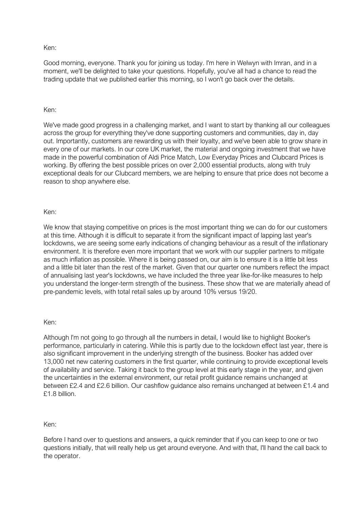Good morning, everyone. Thank you for joining us today. I'm here in Welwyn with Imran, and in a moment, we'll be delighted to take your questions. Hopefully, you've all had a chance to read the trading update that we published earlier this morning, so I won't go back over the details.

#### Ken:

We've made good progress in a challenging market, and I want to start by thanking all our colleagues across the group for everything they've done supporting customers and communities, day in, day out. Importantly, customers are rewarding us with their loyalty, and we've been able to grow share in every one of our markets. In our core UK market, the material and ongoing investment that we have made in the powerful combination of Aldi Price Match, Low Everyday Prices and Clubcard Prices is working. By offering the best possible prices on over 2,000 essential products, along with truly exceptional deals for our Clubcard members, we are helping to ensure that price does not become a reason to shop anywhere else.

#### Ken:

We know that staying competitive on prices is the most important thing we can do for our customers at this time. Although it is difficult to separate it from the significant impact of lapping last year's lockdowns, we are seeing some early indications of changing behaviour as a result of the inflationary environment. It is therefore even more important that we work with our supplier partners to mitigate as much inflation as possible. Where it is being passed on, our aim is to ensure it is a little bit less and a little bit later than the rest of the market. Given that our quarter one numbers reflect the impact of annualising last year's lockdowns, we have included the three year like-for-like measures to help you understand the longer-term strength of the business. These show that we are materially ahead of pre-pandemic levels, with total retail sales up by around 10% versus 19/20.

#### Ken:

Although I'm not going to go through all the numbers in detail, I would like to highlight Booker's performance, particularly in catering. While this is partly due to the lockdown effect last year, there is also significant improvement in the underlying strength of the business. Booker has added over 13,000 net new catering customers in the first quarter, while continuing to provide exceptional levels of availability and service. Taking it back to the group level at this early stage in the year, and given the uncertainties in the external environment, our retail profit guidance remains unchanged at between £2.4 and £2.6 billion. Our cashflow guidance also remains unchanged at between £1.4 and £1.8 billion.

#### Ken:

Before I hand over to questions and answers, a quick reminder that if you can keep to one or two questions initially, that will really help us get around everyone. And with that, I'll hand the call back to the operator.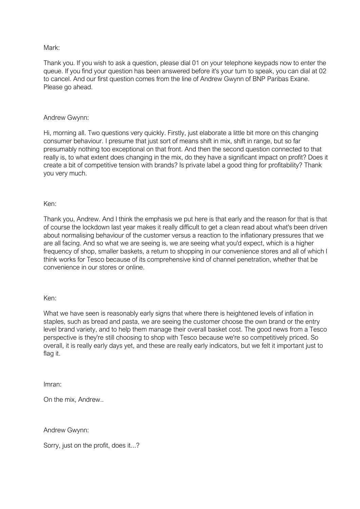#### Mark:

Thank you. If you wish to ask a question, please dial 01 on your telephone keypads now to enter the queue. If you find your question has been answered before it's your turn to speak, you can dial at 02 to cancel. And our first question comes from the line of Andrew Gwynn of BNP Paribas Exane. Please go ahead.

#### Andrew Gwynn:

Hi, morning all. Two questions very quickly. Firstly, just elaborate a little bit more on this changing consumer behaviour. I presume that just sort of means shift in mix, shift in range, but so far presumably nothing too exceptional on that front. And then the second question connected to that really is, to what extent does changing in the mix, do they have a significant impact on profit? Does it create a bit of competitive tension with brands? Is private label a good thing for profitability? Thank you very much.

#### Ken:

Thank you, Andrew. And I think the emphasis we put here is that early and the reason for that is that of course the lockdown last year makes it really difficult to get a clean read about what's been driven about normalising behaviour of the customer versus a reaction to the inflationary pressures that we are all facing. And so what we are seeing is, we are seeing what you'd expect, which is a higher frequency of shop, smaller baskets, a return to shopping in our convenience stores and all of which I think works for Tesco because of its comprehensive kind of channel penetration, whether that be convenience in our stores or online.

#### Ken:

What we have seen is reasonably early signs that where there is heightened levels of inflation in staples, such as bread and pasta, we are seeing the customer choose the own brand or the entry level brand variety, and to help them manage their overall basket cost. The good news from a Tesco perspective is they're still choosing to shop with Tesco because we're so competitively priced. So overall, it is really early days yet, and these are really early indicators, but we felt it important just to flag it.

Imran:

On the mix, Andrew..

Andrew Gwynn:

Sorry, just on the profit, does it...?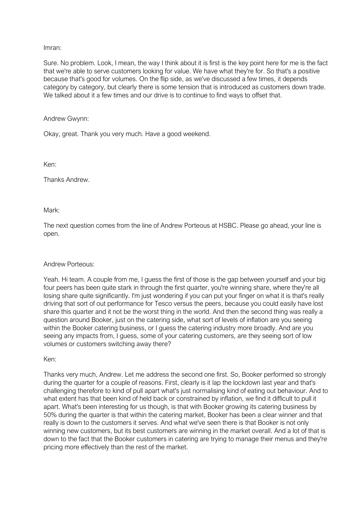#### Imran:

Sure. No problem. Look, I mean, the way I think about it is first is the key point here for me is the fact that we're able to serve customers looking for value. We have what they're for. So that's a positive because that's good for volumes. On the flip side, as we've discussed a few times, it depends category by category, but clearly there is some tension that is introduced as customers down trade. We talked about it a few times and our drive is to continue to find ways to offset that.

#### Andrew Gwynn:

Okay, great. Thank you very much. Have a good weekend.

Ken:

Thanks Andrew.

#### Mark:

The next question comes from the line of Andrew Porteous at HSBC. Please go ahead, your line is open.

#### Andrew Porteous:

Yeah. Hi team. A couple from me, I guess the first of those is the gap between yourself and your big four peers has been quite stark in through the first quarter, you're winning share, where they're all losing share quite significantly. I'm just wondering if you can put your finger on what it is that's really driving that sort of out performance for Tesco versus the peers, because you could easily have lost share this quarter and it not be the worst thing in the world. And then the second thing was really a question around Booker, just on the catering side, what sort of levels of inflation are you seeing within the Booker catering business, or I guess the catering industry more broadly. And are you seeing any impacts from, I guess, some of your catering customers, are they seeing sort of low volumes or customers switching away there?

#### Ken:

Thanks very much, Andrew. Let me address the second one first. So, Booker performed so strongly during the quarter for a couple of reasons. First, clearly is it lap the lockdown last year and that's challenging therefore to kind of pull apart what's just normalising kind of eating out behaviour. And to what extent has that been kind of held back or constrained by inflation, we find it difficult to pull it apart. What's been interesting for us though, is that with Booker growing its catering business by 50% during the quarter is that within the catering market, Booker has been a clear winner and that really is down to the customers it serves. And what we've seen there is that Booker is not only winning new customers, but its best customers are winning in the market overall. And a lot of that is down to the fact that the Booker customers in catering are trying to manage their menus and they're pricing more effectively than the rest of the market.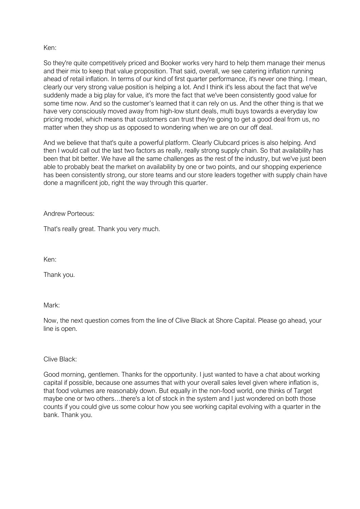So they're quite competitively priced and Booker works very hard to help them manage their menus and their mix to keep that value proposition. That said, overall, we see catering inflation running ahead of retail inflation. In terms of our kind of first quarter performance, it's never one thing. I mean, clearly our very strong value position is helping a lot. And I think it's less about the fact that we've suddenly made a big play for value, it's more the fact that we've been consistently good value for some time now. And so the customer's learned that it can rely on us. And the other thing is that we have very consciously moved away from high-low stunt deals, multi buys towards a everyday low pricing model, which means that customers can trust they're going to get a good deal from us, no matter when they shop us as opposed to wondering when we are on our off deal.

And we believe that that's quite a powerful platform. Clearly Clubcard prices is also helping. And then I would call out the last two factors as really, really strong supply chain. So that availability has been that bit better. We have all the same challenges as the rest of the industry, but we've just been able to probably beat the market on availability by one or two points, and our shopping experience has been consistently strong, our store teams and our store leaders together with supply chain have done a magnificent job, right the way through this quarter.

Andrew Porteous:

That's really great. Thank you very much.

Ken:

Thank you.

Mark:

Now, the next question comes from the line of Clive Black at Shore Capital. Please go ahead, your line is open.

Clive Black:

Good morning, gentlemen. Thanks for the opportunity. I just wanted to have a chat about working capital if possible, because one assumes that with your overall sales level given where inflation is, that food volumes are reasonably down. But equally in the non-food world, one thinks of Target maybe one or two others…there's a lot of stock in the system and I just wondered on both those counts if you could give us some colour how you see working capital evolving with a quarter in the bank. Thank you.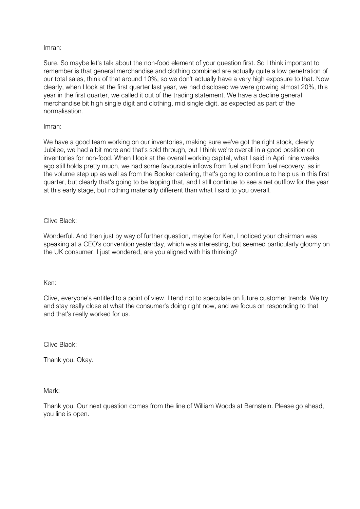#### Imran:

Sure. So maybe let's talk about the non-food element of your question first. So I think important to remember is that general merchandise and clothing combined are actually quite a low penetration of our total sales, think of that around 10%, so we don't actually have a very high exposure to that. Now clearly, when I look at the first quarter last year, we had disclosed we were growing almost 20%, this year in the first quarter, we called it out of the trading statement. We have a decline general merchandise bit high single digit and clothing, mid single digit, as expected as part of the normalisation.

#### Imran:

We have a good team working on our inventories, making sure we've got the right stock, clearly Jubilee, we had a bit more and that's sold through, but I think we're overall in a good position on inventories for non-food. When I look at the overall working capital, what I said in April nine weeks ago still holds pretty much, we had some favourable inflows from fuel and from fuel recovery, as in the volume step up as well as from the Booker catering, that's going to continue to help us in this first quarter, but clearly that's going to be lapping that, and I still continue to see a net outflow for the year at this early stage, but nothing materially different than what I said to you overall.

#### Clive Black:

Wonderful. And then just by way of further question, maybe for Ken, I noticed your chairman was speaking at a CEO's convention yesterday, which was interesting, but seemed particularly gloomy on the UK consumer. I just wondered, are you aligned with his thinking?

#### Ken:

Clive, everyone's entitled to a point of view. I tend not to speculate on future customer trends. We try and stay really close at what the consumer's doing right now, and we focus on responding to that and that's really worked for us.

Clive Black:

Thank you. Okay.

Mark:

Thank you. Our next question comes from the line of William Woods at Bernstein. Please go ahead, you line is open.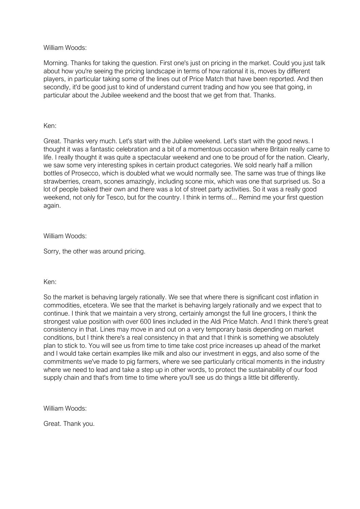#### William Woods:

Morning. Thanks for taking the question. First one's just on pricing in the market. Could you just talk about how you're seeing the pricing landscape in terms of how rational it is, moves by different players, in particular taking some of the lines out of Price Match that have been reported. And then secondly, it'd be good just to kind of understand current trading and how you see that going, in particular about the Jubilee weekend and the boost that we get from that. Thanks.

#### Ken:

Great. Thanks very much. Let's start with the Jubilee weekend. Let's start with the good news. I thought it was a fantastic celebration and a bit of a momentous occasion where Britain really came to life. I really thought it was quite a spectacular weekend and one to be proud of for the nation. Clearly, we saw some very interesting spikes in certain product categories. We sold nearly half a million bottles of Prosecco, which is doubled what we would normally see. The same was true of things like strawberries, cream, scones amazingly, including scone mix, which was one that surprised us. So a lot of people baked their own and there was a lot of street party activities. So it was a really good weekend, not only for Tesco, but for the country. I think in terms of... Remind me your first question again.

#### William Woods:

Sorry, the other was around pricing.

#### Ken:

So the market is behaving largely rationally. We see that where there is significant cost inflation in commodities, etcetera. We see that the market is behaving largely rationally and we expect that to continue. I think that we maintain a very strong, certainly amongst the full line grocers, I think the strongest value position with over 600 lines included in the Aldi Price Match. And I think there's great consistency in that. Lines may move in and out on a very temporary basis depending on market conditions, but I think there's a real consistency in that and that I think is something we absolutely plan to stick to. You will see us from time to time take cost price increases up ahead of the market and I would take certain examples like milk and also our investment in eggs, and also some of the commitments we've made to pig farmers, where we see particularly critical moments in the industry where we need to lead and take a step up in other words, to protect the sustainability of our food supply chain and that's from time to time where you'll see us do things a little bit differently.

William Woods:

Great. Thank you.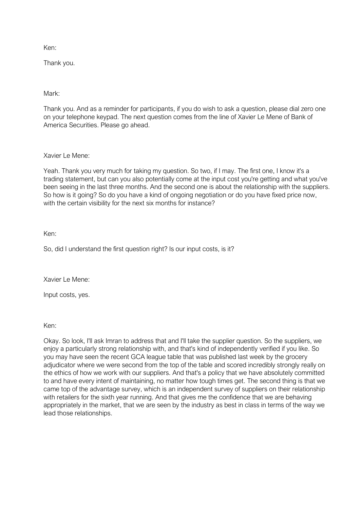Thank you.

Mark:

Thank you. And as a reminder for participants, if you do wish to ask a question, please dial zero one on your telephone keypad. The next question comes from the line of Xavier Le Mene of Bank of America Securities. Please go ahead.

Xavier Le Mene:

Yeah. Thank you very much for taking my question. So two, if I may. The first one, I know it's a trading statement, but can you also potentially come at the input cost you're getting and what you've been seeing in the last three months. And the second one is about the relationship with the suppliers. So how is it going? So do you have a kind of ongoing negotiation or do you have fixed price now, with the certain visibility for the next six months for instance?

Ken:

So, did I understand the first question right? Is our input costs, is it?

Xavier Le Mene:

Input costs, yes.

Ken:

Okay. So look, I'll ask Imran to address that and I'll take the supplier question. So the suppliers, we enjoy a particularly strong relationship with, and that's kind of independently verified if you like. So you may have seen the recent GCA league table that was published last week by the grocery adjudicator where we were second from the top of the table and scored incredibly strongly really on the ethics of how we work with our suppliers. And that's a policy that we have absolutely committed to and have every intent of maintaining, no matter how tough times get. The second thing is that we came top of the advantage survey, which is an independent survey of suppliers on their relationship with retailers for the sixth year running. And that gives me the confidence that we are behaving appropriately in the market, that we are seen by the industry as best in class in terms of the way we lead those relationships.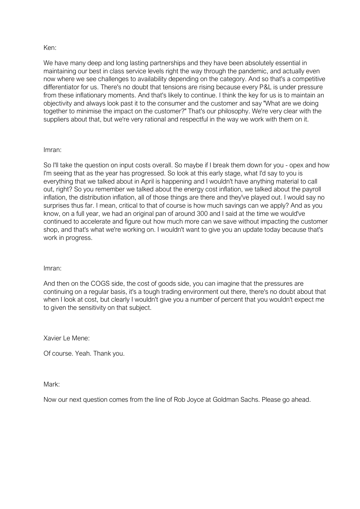We have many deep and long lasting partnerships and they have been absolutely essential in maintaining our best in class service levels right the way through the pandemic, and actually even now where we see challenges to availability depending on the category. And so that's a competitive differentiator for us. There's no doubt that tensions are rising because every P&L is under pressure from these inflationary moments. And that's likely to continue. I think the key for us is to maintain an objectivity and always look past it to the consumer and the customer and say "What are we doing together to minimise the impact on the customer?" That's our philosophy. We're very clear with the suppliers about that, but we're very rational and respectful in the way we work with them on it.

#### Imran:

So I'll take the question on input costs overall. So maybe if I break them down for you - opex and how I'm seeing that as the year has progressed. So look at this early stage, what I'd say to you is everything that we talked about in April is happening and I wouldn't have anything material to call out, right? So you remember we talked about the energy cost inflation, we talked about the payroll inflation, the distribution inflation, all of those things are there and they've played out. I would say no surprises thus far. I mean, critical to that of course is how much savings can we apply? And as you know, on a full year, we had an original pan of around 300 and I said at the time we would've continued to accelerate and figure out how much more can we save without impacting the customer shop, and that's what we're working on. I wouldn't want to give you an update today because that's work in progress.

#### Imran:

And then on the COGS side, the cost of goods side, you can imagine that the pressures are continuing on a regular basis, it's a tough trading environment out there, there's no doubt about that when I look at cost, but clearly I wouldn't give you a number of percent that you wouldn't expect me to given the sensitivity on that subject.

Xavier Le Mene:

Of course. Yeah. Thank you.

Mark:

Now our next question comes from the line of Rob Joyce at Goldman Sachs. Please go ahead.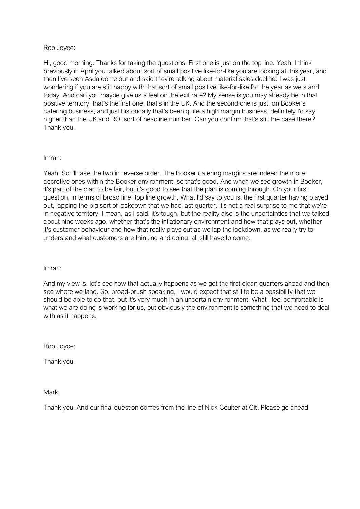#### Rob Joyce:

Hi, good morning. Thanks for taking the questions. First one is just on the top line. Yeah, I think previously in April you talked about sort of small positive like-for-like you are looking at this year, and then I've seen Asda come out and said they're talking about material sales decline. I was just wondering if you are still happy with that sort of small positive like-for-like for the year as we stand today. And can you maybe give us a feel on the exit rate? My sense is you may already be in that positive territory, that's the first one, that's in the UK. And the second one is just, on Booker's catering business, and just historically that's been quite a high margin business, definitely I'd say higher than the UK and ROI sort of headline number. Can you confirm that's still the case there? Thank you.

#### Imran:

Yeah. So I'll take the two in reverse order. The Booker catering margins are indeed the more accretive ones within the Booker environment, so that's good. And when we see growth in Booker, it's part of the plan to be fair, but it's good to see that the plan is coming through. On your first question, in terms of broad line, top line growth. What I'd say to you is, the first quarter having played out, lapping the big sort of lockdown that we had last quarter, it's not a real surprise to me that we're in negative territory. I mean, as I said, it's tough, but the reality also is the uncertainties that we talked about nine weeks ago, whether that's the inflationary environment and how that plays out, whether it's customer behaviour and how that really plays out as we lap the lockdown, as we really try to understand what customers are thinking and doing, all still have to come.

#### Imran:

And my view is, let's see how that actually happens as we get the first clean quarters ahead and then see where we land. So, broad-brush speaking, I would expect that still to be a possibility that we should be able to do that, but it's very much in an uncertain environment. What I feel comfortable is what we are doing is working for us, but obviously the environment is something that we need to deal with as it happens.

Rob Joyce:

Thank you.

Mark:

Thank you. And our final question comes from the line of Nick Coulter at Cit. Please go ahead.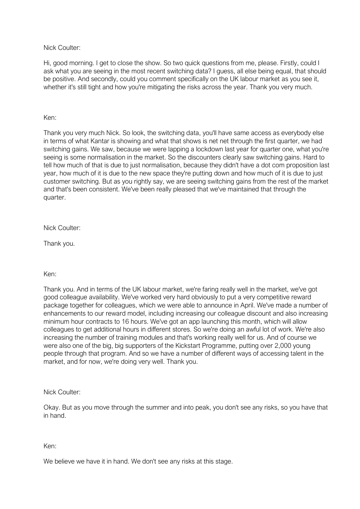Nick Coulter:

Hi, good morning. I get to close the show. So two quick questions from me, please. Firstly, could I ask what you are seeing in the most recent switching data? I guess, all else being equal, that should be positive. And secondly, could you comment specifically on the UK labour market as you see it, whether it's still tight and how you're mitigating the risks across the year. Thank you very much.

#### Ken:

Thank you very much Nick. So look, the switching data, you'll have same access as everybody else in terms of what Kantar is showing and what that shows is net net through the first quarter, we had switching gains. We saw, because we were lapping a lockdown last year for quarter one, what you're seeing is some normalisation in the market. So the discounters clearly saw switching gains. Hard to tell how much of that is due to just normalisation, because they didn't have a dot com proposition last year, how much of it is due to the new space they're putting down and how much of it is due to just customer switching. But as you rightly say, we are seeing switching gains from the rest of the market and that's been consistent. We've been really pleased that we've maintained that through the quarter.

#### Nick Coulter:

Thank you.

#### Ken:

Thank you. And in terms of the UK labour market, we're faring really well in the market, we've got good colleague availability. We've worked very hard obviously to put a very competitive reward package together for colleagues, which we were able to announce in April. We've made a number of enhancements to our reward model, including increasing our colleague discount and also increasing minimum hour contracts to 16 hours. We've got an app launching this month, which will allow colleagues to get additional hours in different stores. So we're doing an awful lot of work. We're also increasing the number of training modules and that's working really well for us. And of course we were also one of the big, big supporters of the Kickstart Programme, putting over 2,000 young people through that program. And so we have a number of different ways of accessing talent in the market, and for now, we're doing very well. Thank you.

#### Nick Coulter:

Okay. But as you move through the summer and into peak, you don't see any risks, so you have that in hand.

#### Ken:

We believe we have it in hand. We don't see any risks at this stage.